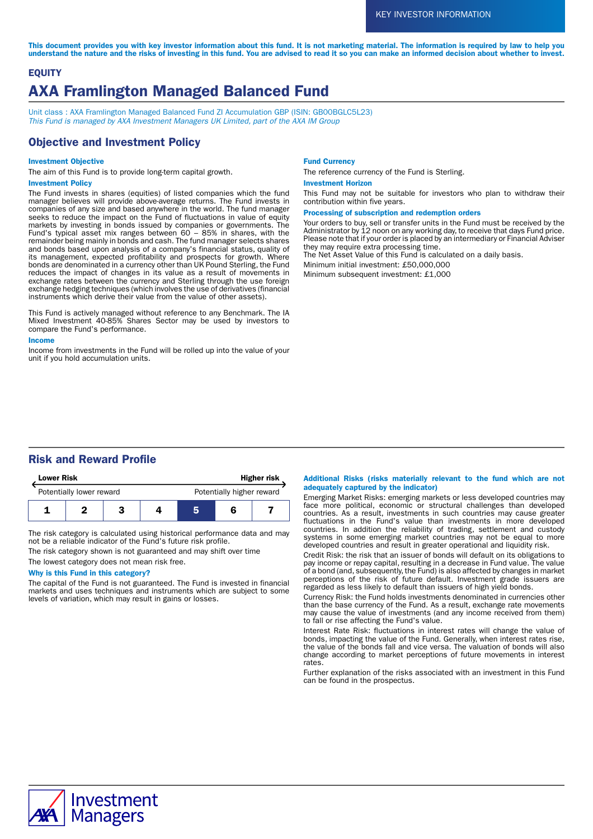This document provides you with key investor information about this fund. It is not marketing material. The information is required by law to help you understand the nature and the risks of investing in this fund. You are advised to read it so you can make an informed decision about whether to invest.

# **EQUITY** AXA Framlington Managed Balanced Fund

Unit class : AXA Framlington Managed Balanced Fund ZI Accumulation GBP (ISIN: GB00BGLC5L23) This Fund is managed by AXA Investment Managers UK Limited, part of the AXA IM Group

## Objective and Investment Policy

#### Investment Objective

The aim of this Fund is to provide long-term capital growth.

## Investment Policy

The Fund invests in shares (equities) of listed companies which the fund manager believes will provide above-average returns. The Fund invests in companies of any size and based anywhere in the world. The fund manager seeks to reduce the impact on the Fund of fluctuations in value of equity markets by investing in bonds issued by companies or governments. The Fund's typical asset mix ranges between 60 – 85% in shares, with the remainder being mainly in bonds and cash. The fund manager selects shares and bonds based upon analysis of a company's financial status, quality of its management, expected profitability and prospects for growth. Where bonds are denominated in a currency other than UK Pound Sterling, the Fund reduces the impact of changes in its value as a result of movements in exchange rates between the currency and Sterling through the use foreign exchange hedging techniques (which involves the use of derivatives (financial instruments which derive their value from the value of other assets).

This Fund is actively managed without reference to any Benchmark. The IA Mixed Investment 40-85% Shares Sector may be used by investors to compare the Fund's performance.

#### Income

Income from investments in the Fund will be rolled up into the value of your unit if you hold accumulation units.

#### Fund Currency

The reference currency of the Fund is Sterling.

#### Investment Horizon

This Fund may not be suitable for investors who plan to withdraw their contribution within five years.

#### Processing of subscription and redemption orders

Your orders to buy, sell or transfer units in the Fund must be received by the Administrator by 12 noon on any working day, to receive that days Fund price. Please note that if your order is placed by an intermediary or Financial Adviser they may require extra processing time.

The Net Asset Value of this Fund is calculated on a daily basis.

Minimum initial investment: £50,000,000

Minimum subsequent investment: £1,000

## Risk and Reward Profile

| <b>Lower Risk</b> |                          |  | <b>Higher risk</b>        |  |  |  |
|-------------------|--------------------------|--|---------------------------|--|--|--|
|                   | Potentially lower reward |  | Potentially higher reward |  |  |  |
|                   |                          |  |                           |  |  |  |

The risk category is calculated using historical performance data and may not be a reliable indicator of the Fund's future risk profile.

The risk category shown is not guaranteed and may shift over time The lowest category does not mean risk free.

## Why is this Fund in this category?

The capital of the Fund is not guaranteed. The Fund is invested in financial markets and uses techniques and instruments which are subject to some levels of variation, which may result in gains or losses.

#### Additional Risks (risks materially relevant to the fund which are not adequately captured by the indicator)

Emerging Market Risks: emerging markets or less developed countries may face more political, economic or structural challenges than developed countries. As a result, investments in such countries may cause greater fluctuations in the Fund's value than investments in more developed countries. In addition the reliability of trading, settlement and custody systems in some emerging market countries may not be equal to more developed countries and result in greater operational and liquidity risk.

Credit Risk: the risk that an issuer of bonds will default on its obligations to pay income or repay capital, resulting in a decrease in Fund value. The value of a bond (and, subsequently, the Fund) is also affected by changes in market perceptions of the risk of future default. Investment grade issuers are regarded as less likely to default than issuers of high yield bonds.

Currency Risk: the Fund holds investments denominated in currencies other than the base currency of the Fund. As a result, exchange rate movements may cause the value of investments (and any income received from them) to fall or rise affecting the Fund's value.

Interest Rate Risk: fluctuations in interest rates will change the value of bonds, impacting the value of the Fund. Generally, when interest rates rise, the value of the bonds fall and vice versa. The valuation of bonds will also change according to market perceptions of future movements in interest rates.

Further explanation of the risks associated with an investment in this Fund can be found in the prospectus.